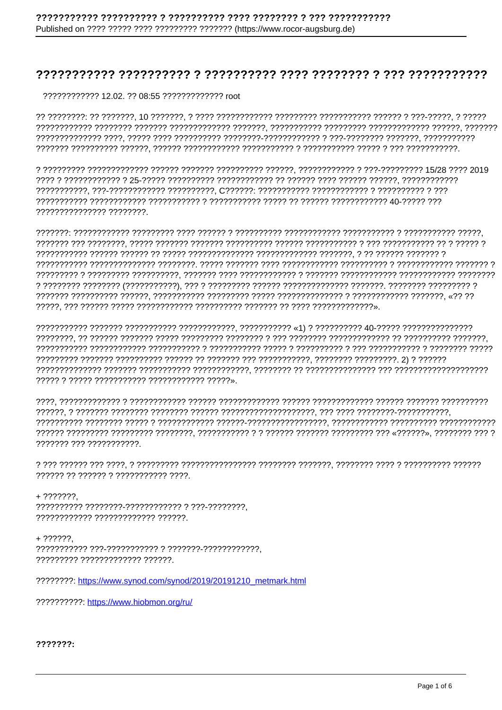## 

???????????? 12.02. ?? 08:55 ????????????? root

??????? ??? ???????????.

?????? ?? ?????? ? ??????????? ????.

 $+ 222222$ ???????????? ????????????? ??????.

 $+ 222222$ 

????????: https://www.synod.com/synod/2019/20191210\_metmark.html

?????????? https://www.hiobmon.org/ru/

 $222222:$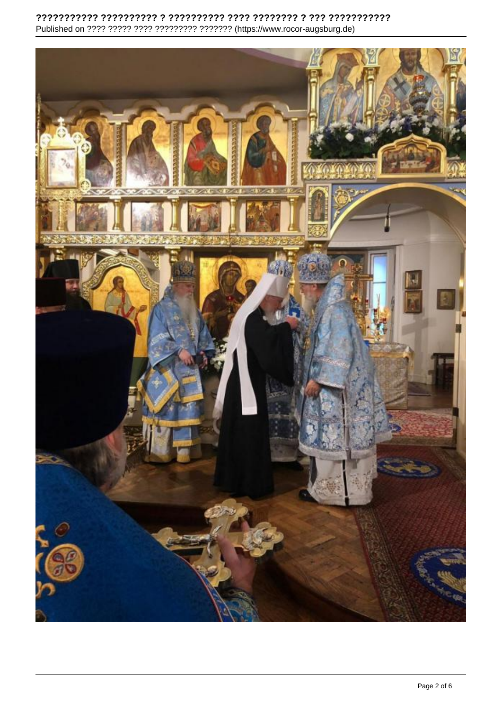

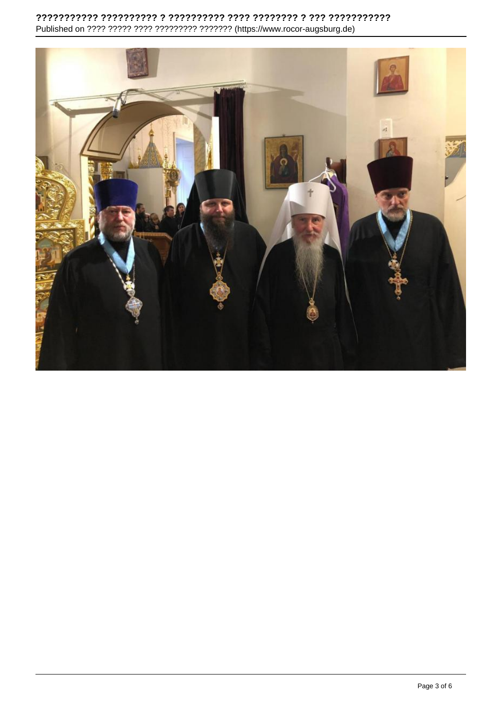## **??????????? ?????????? ? ?????????? ???? ???????? ? ??? ???????????** Published on ???? ????? ???? ????????? ??????? (https://www.rocor-augsburg.de)

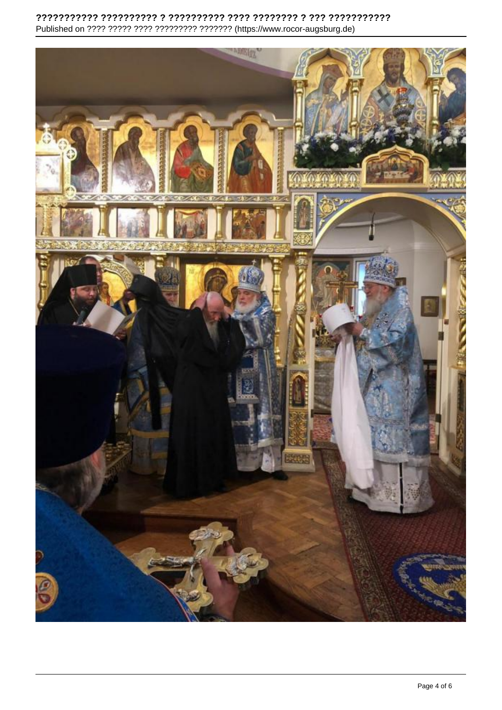## **??????????? ?????????? ? ?????????? ???? ???????? ? ??? ???????????** Published on ???? ????? ???? ????????? ??????? (https://www.rocor-augsburg.de)